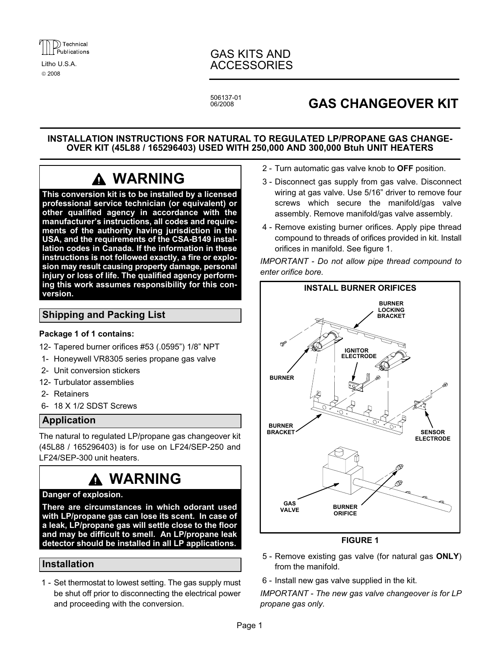

© 2008

# GAS KITS AND Litho U.S.A. ACCESSORIES

506137−01

# **GAS CHANGEOVER KIT**

## INSTALLATION INSTRUCTIONS FOR NATURAL TO REGULATED LP/PROPANE GAS CHANGE-OVER KIT (45L88 / 165296403) USED WITH 250,000 AND 300,000 Btuh UNIT HEATERS

# WARNING

This conversion kit is to be installed by a licensed professional service technician (or equivalent) or other qualified agency in accordance with the manufacturer's instructions, all codes and requirements of the authority having jurisdiction in the USA, and the requirements of the CSA−B149 installation codes in Canada. If the information in these instructions is not followed exactly, a fire or explosion may result causing property damage, personal injury or loss of life. The qualified agency performing this work assumes responsibility for this conversion.

# Shipping and Packing List

#### Package 1 of 1 contains:

- 12− Tapered burner orifices #53 (.0595") 1/8" NPT
- 1− Honeywell VR8305 series propane gas valve
- 2− Unit conversion stickers
- 12− Turbulator assemblies
- 2− Retainers
- 6− 18 X 1/2 SDST Screws

# Application

The natural to regulated LP/propane gas changeover kit (45L88 / 165296403) is for use on LF24/SEP−250 and LF24/SEP−300 unit heaters.

# WARNING

# Danger of explosion.

There are circumstances in which odorant used with LP/propane gas can lose its scent. In case of a leak, LP/propane gas will settle close to the floor and may be difficult to smell. An LP/propane leak detector should be installed in all LP applications.

# Installation

 1 − Set thermostat to lowest setting. The gas supply must be shut off prior to disconnecting the electrical power and proceeding with the conversion.

- 2 Turn automatic gas valve knob to OFF position.
- 3 − Disconnect gas supply from gas valve. Disconnect wiring at gas valve. Use 5/16" driver to remove four screws which secure the manifold/gas valve assembly. Remove manifold/gas valve assembly.
- 4 − Remove existing burner orifices. Apply pipe thread compound to threads of orifices provided in kit. Install orifices in manifold. See figure 1.

IMPORTANT − Do not allow pipe thread compound to enter orifice bore.



## FIGURE 1

- 5 Remove existing gas valve (for natural gas ONLY) from the manifold.
- 6 − Install new gas valve supplied in the kit.

IMPORTANT − The new gas valve changeover is for LP propane gas only.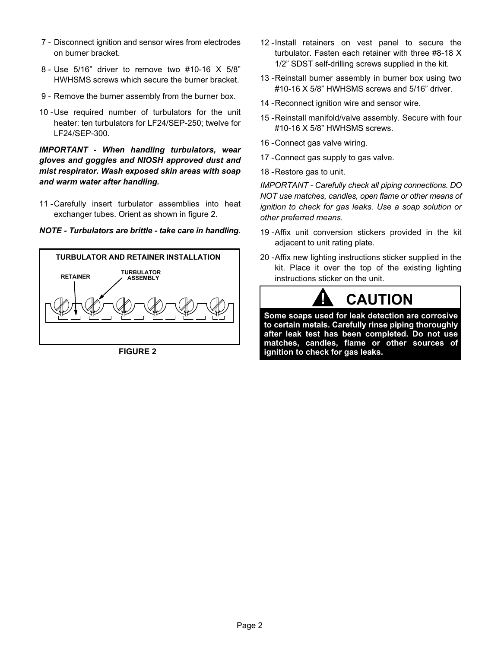- 7 Disconnect ignition and sensor wires from electrodes on burner bracket.
- 8 − Use 5/16" driver to remove two #10−16 X 5/8" HWHSMS screws which secure the burner bracket.
- 9 Remove the burner assembly from the burner box.
- 10 −Use required number of turbulators for the unit heater: ten turbulators for LF24/SEP−250; twelve for LF24/SEP−300.

IMPORTANT − When handling turbulators, wear gloves and goggles and NIOSH approved dust and mist respirator. Wash exposed skin areas with soap and warm water after handling.

11 - Carefully insert turbulator assemblies into heat exchanger tubes. Orient as shown in figure 2.





FIGURE 2

- 12 -Install retainers on vest panel to secure the turbulator. Fasten each retainer with three #8−18 X 1/2" SDST self−drilling screws supplied in the kit.
- 13 Reinstall burner assembly in burner box using two #10−16 X 5/8" HWHSMS screws and 5/16" driver.
- 14 Reconnect ignition wire and sensor wire.
- 15 −Reinstall manifold/valve assembly. Secure with four #10−16 X 5/8" HWHSMS screws.
- 16 −Connect gas valve wiring.
- 17 Connect gas supply to gas valve.
- 18 Restore gas to unit.

IMPORTANT − Carefully check all piping connections. DO NOT use matches, candles, open flame or other means of ignition to check for gas leaks. Use a soap solution or other preferred means.

- 19 −Affix unit conversion stickers provided in the kit adjacent to unit rating plate.
- 20 Affix new lighting instructions sticker supplied in the kit. Place it over the top of the existing lighting instructions sticker on the unit.



Some soaps used for leak detection are corrosive to certain metals. Carefully rinse piping thoroughly after leak test has been completed. Do not use matches, candles, flame or other sources of ignition to check for gas leaks.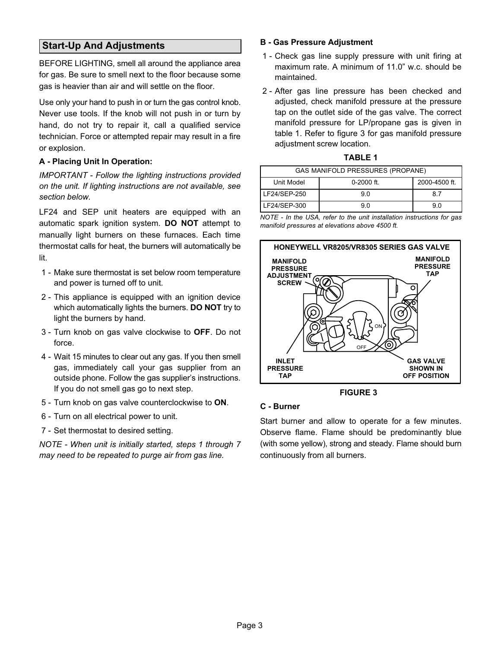# Start−Up And Adjustments

BEFORE LIGHTING, smell all around the appliance area for gas. Be sure to smell next to the floor because some gas is heavier than air and will settle on the floor.

Use only your hand to push in or turn the gas control knob. Never use tools. If the knob will not push in or turn by hand, do not try to repair it, call a qualified service technician. Force or attempted repair may result in a fire or explosion.

#### A − Placing Unit In Operation:

IMPORTANT − Follow the lighting instructions provided on the unit. If lighting instructions are not available, see section below.

LF24 and SEP unit heaters are equipped with an automatic spark ignition system. DO NOT attempt to manually light burners on these furnaces. Each time thermostat calls for heat, the burners will automatically be lit.

- 1 − Make sure thermostat is set below room temperature and power is turned off to unit.
- 2 This appliance is equipped with an ignition device which automatically lights the burners. **DO NOT** try to light the burners by hand.
- 3 Turn knob on gas valve clockwise to OFF. Do not force.
- 4 − Wait 15 minutes to clear out any gas. If you then smell gas, immediately call your gas supplier from an outside phone. Follow the gas supplier's instructions. If you do not smell gas go to next step.
- 5 Turn knob on gas valve counterclockwise to ON.
- 6 − Turn on all electrical power to unit.
- 7 Set thermostat to desired setting.

NOTE − When unit is initially started, steps 1 through 7 may need to be repeated to purge air from gas line.

#### B − Gas Pressure Adjustment

- 1 Check gas line supply pressure with unit firing at maximum rate. A minimum of 11.0" w.c. should be maintained.
- 2 − After gas line pressure has been checked and adjusted, check manifold pressure at the pressure tap on the outlet side of the gas valve. The correct manifold pressure for LP/propane gas is given in table 1. Refer to figure 3 for gas manifold pressure adjustment screw location.

| <b>TABLE 1</b>                          |                |     |  |  |
|-----------------------------------------|----------------|-----|--|--|
| <b>GAS MANIFOLD PRESSURES (PROPANE)</b> |                |     |  |  |
| lodel                                   | $0 - 2000$ ft. | 200 |  |  |

| Unit Model   | $0 - 2000$ ft. | 2000-4500 ft. |
|--------------|----------------|---------------|
| LF24/SEP-250 | 90             |               |
| LF24/SEP-300 | 90             | 9.0           |

NOTE − In the USA, refer to the unit installation instructions for gas manifold pressures at elevations above 4500 ft.



FIGURE 3

#### C − Burner

Start burner and allow to operate for a few minutes. Observe flame. Flame should be predominantly blue (with some yellow), strong and steady. Flame should burn continuously from all burners.